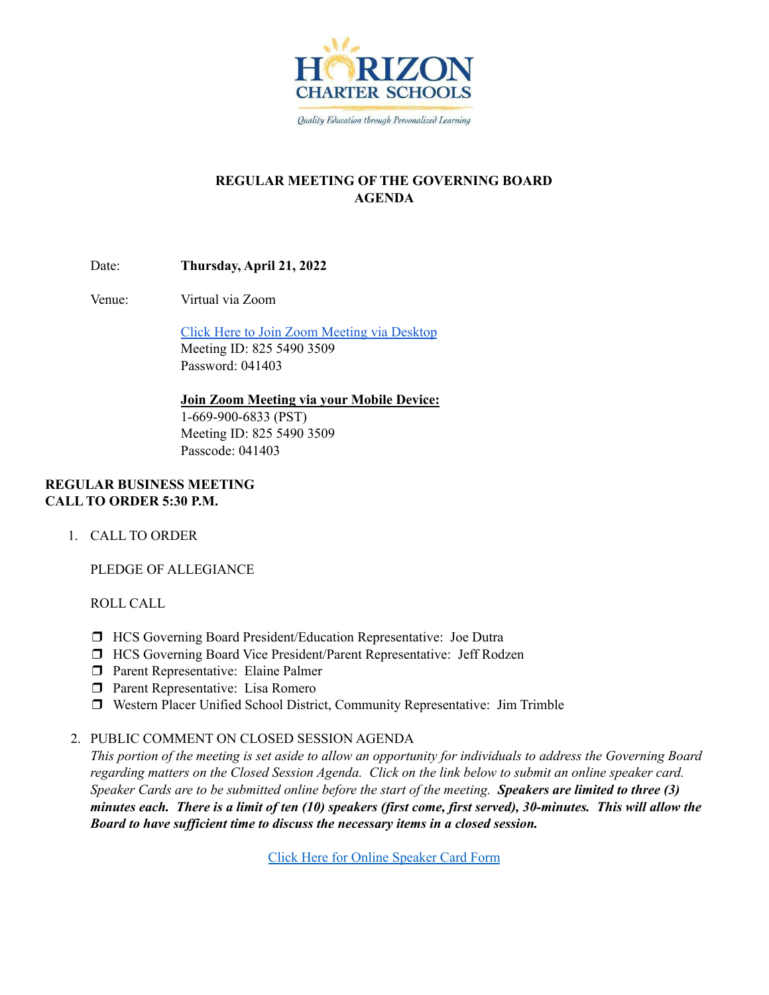

# **REGULAR MEETING OF THE GOVERNING BOARD AGENDA**

Date: **Thursday, April 21, 2022**

Venue: Virtual via Zoom

Click Here to Join Zoom [Meeting](https://hcseagles-org.zoom.us/j/82554903509?pwd=aXZLd0lZdnR4V1JieGM0dFJQSFZWQT09) via Desktop Meeting ID: 825 5490 3509 Password: 041403

**Join Zoom Meeting via your Mobile Device:** 1-669-900-6833 (PST) Meeting ID: 825 5490 3509 Passcode: 041403

# **REGULAR BUSINESS MEETING CALL TO ORDER 5:30 P.M.**

1. CALL TO ORDER

PLEDGE OF ALLEGIANCE

ROLL CALL

- ❒ HCS Governing Board President/Education Representative: Joe Dutra
- ❒ HCS Governing Board Vice President/Parent Representative: Jeff Rodzen
- ❒ Parent Representative: Elaine Palmer
- ❒ Parent Representative: Lisa Romero
- ❒ Western Placer Unified School District, Community Representative: Jim Trimble
- 2. PUBLIC COMMENT ON CLOSED SESSION AGENDA

This portion of the meeting is set aside to allow an opportunity for individuals to address the Governing Board regarding matters on the Closed Session Agenda. Click on the link below to submit an online speaker card. Speaker Cards are to be submitted online before the start of the meeting. Speakers are limited to three (3) minutes each. There is a limit of ten (10) speakers (first come, first served), 30-minutes. This will allow the *Board to have suf icient time to discuss the necessary items in a closed session.*

Click Here for Online [Speaker](https://forms.gle/1Ad7NmftiSuScxKCA) Card Form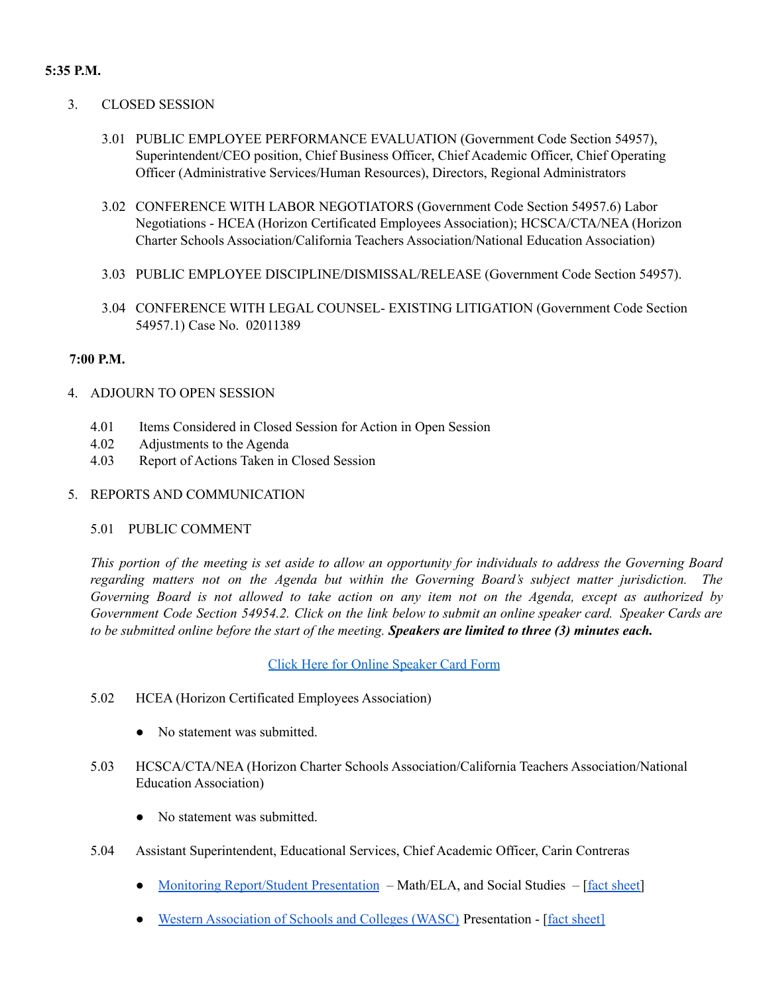## **5:35 P.M.**

- 3. CLOSED SESSION
	- 3.01 PUBLIC EMPLOYEE PERFORMANCE EVALUATION (Government Code Section 54957), Superintendent/CEO position, Chief Business Officer, Chief Academic Officer, Chief Operating Officer (Administrative Services/Human Resources), Directors, Regional Administrators
	- 3.02 CONFERENCE WITH LABOR NEGOTIATORS (Government Code Section 54957.6) Labor Negotiations - HCEA (Horizon Certificated Employees Association); HCSCA/CTA/NEA (Horizon Charter Schools Association/California Teachers Association/National Education Association)
	- 3.03 PUBLIC EMPLOYEE DISCIPLINE/DISMISSAL/RELEASE (Government Code Section 54957).
	- 3.04 CONFERENCE WITH LEGAL COUNSEL- EXISTING LITIGATION (Government Code Section 54957.1) Case No. 02011389

# **7:00 P.M.**

- 4. ADJOURN TO OPEN SESSION
	- 4.01 Items Considered in Closed Session for Action in Open Session
	- 4.02 Adjustments to the Agenda
	- 4.03 Report of Actions Taken in Closed Session
- 5. REPORTS AND COMMUNICATION

#### 5.01 PUBLIC COMMENT

This portion of the meeting is set aside to allow an opportunity for individuals to address the Governing Board *regarding matters not on the Agenda but within the Governing Board's subject matter jurisdiction. The* Governing Board is not allowed to take action on any item not on the Agenda, except as authorized by Government Code Section 54954.2. Click on the link below to submit an online speaker card. Speaker Cards are to be submitted online before the start of the meeting. Speakers are limited to three (3) minutes each.

#### Click Here for Online [Speaker](https://forms.gle/1Ad7NmftiSuScxKCA) Card Form

- 5.02 HCEA (Horizon Certificated Employees Association)
	- No statement was submitted.
- 5.03 HCSCA/CTA/NEA (Horizon Charter Schools Association/California Teachers Association/National Education Association)
	- No statement was submitted.
- 5.04 Assistant Superintendent, Educational Services, Chief Academic Officer, Carin Contreras
	- Monitoring [Report/Student](https://docs.google.com/presentation/d/1vUFi0aSCWDgN4JO3uXU7_iU5QfpzfJ0iFBZw2bpUxRI/edit?usp=sharing) Presentation Math/ELA, and Social Studies [fact [sheet\]](https://docs.google.com/document/d/15-GVXf_U_s-STxXdPj89lizcohhgz8KuXNAtO7gQ6Vg/edit?usp=sharing)
	- Western [Association](https://drive.google.com/file/d/1gsI4JEpuc6_QYP71aaVa2kHshWUqiGmv/view?usp=sharing) of Schools and Colleges (WASC) Presentation [fact [sheet\]](https://docs.google.com/document/d/1-o96eVev8-fkOxtPc1-pdpdM0xolRHnI4Ezq1ePoYdA/edit?usp=sharing)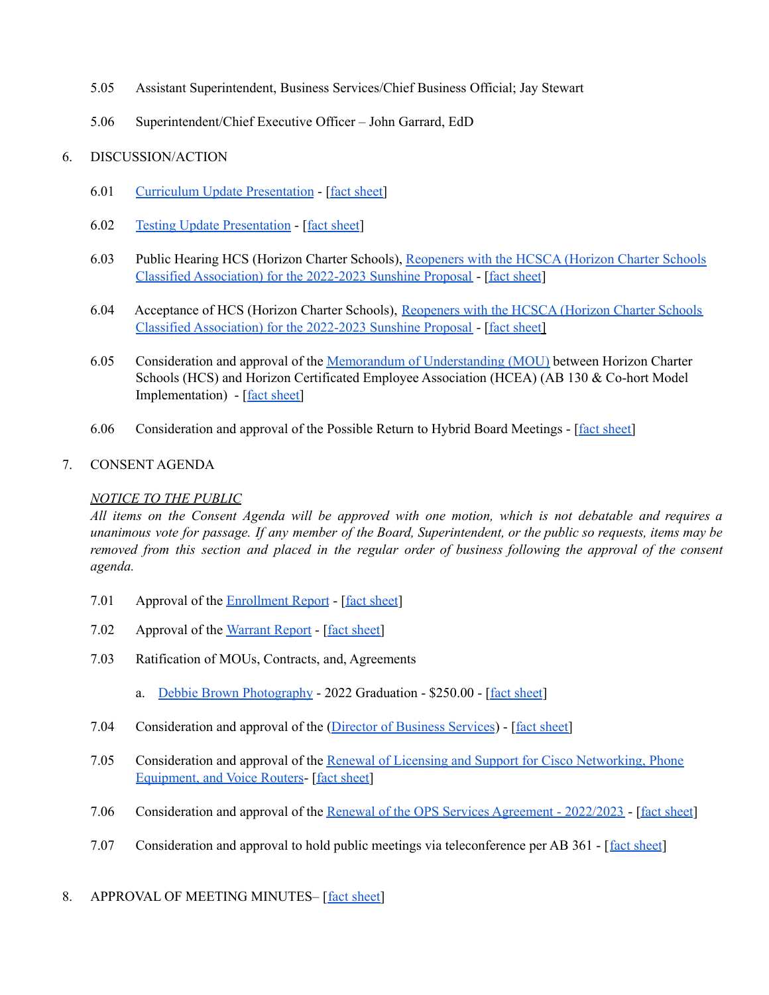- 5.05 Assistant Superintendent, Business Services/Chief Business Official; Jay Stewart
- 5.06 Superintendent/Chief Executive Officer John Garrard, EdD

# 6. DISCUSSION/ACTION

- 6.01 Curriculum Update [Presentation](https://docs.google.com/presentation/d/178aM0wiml0TrXsi0qMUs_CcYl997QwrqBTPX1Mu6f58/edit?usp=sharing) [fact [sheet\]](https://docs.google.com/document/d/1FoWRrryptbq1CunB5fen2AXaIv2wtLIReRnX4TFsey8/edit?usp=sharing)
- 6.02 Testing Update [Presentation](https://docs.google.com/presentation/d/17qwRFU-NBEc04DMLrwxOetKtXobKuAORFEg9h3WwS_w/edit?usp=sharing) [fact [sheet](https://docs.google.com/document/d/1zj9ABv9kWYLBF85P-f43nrW0MBBk0L0LhBQjZpqFx-Q/edit?usp=sharing)]
- 6.03 Public Hearing HCS (Horizon Charter Schools), [Reopeners](https://docs.google.com/document/d/11yG7GfjdP0K11etqVd4omdYSOh7o808A/edit?usp=sharing&ouid=106436144914709673495&rtpof=true&sd=true) with the HCSCA (Horizon Charter Schools Classified [Association\)](https://docs.google.com/document/d/11yG7GfjdP0K11etqVd4omdYSOh7o808A/edit?usp=sharing&ouid=106436144914709673495&rtpof=true&sd=true) for the 2022-2023 Sunshine Proposal - [fact [sheet](https://docs.google.com/document/d/1Uss0n_I_4C__7qRqxZ_gnsxMLW_d0Q333avPJsqKrKg/edit?usp=sharing)]
- 6.04 Acceptance of HCS (Horizon Charter Schools), [Reopeners](https://docs.google.com/document/d/11yG7GfjdP0K11etqVd4omdYSOh7o808A/edit?usp=sharing&ouid=106436144914709673495&rtpof=true&sd=true) with the HCSCA (Horizon Charter Schools Classified [Association\)](https://docs.google.com/document/d/11yG7GfjdP0K11etqVd4omdYSOh7o808A/edit?usp=sharing&ouid=106436144914709673495&rtpof=true&sd=true) for the 2022-2023 Sunshine Proposal - [fact [sheet](https://docs.google.com/document/d/1xmep5FtzdTyxGi3Q_Yh-LPD8DPbhWpPSOWRIb0QaWSU/edit?usp=sharing)[\]](https://docs.google.com/document/d/1g1Y7q7mL-TbUO_cIqXPNwe9hHh5BQItbmmhUWt-Hu_0/edit?usp=sharing)
- 6.05 Consideration and approval of the Memorandum of [Understanding](https://drive.google.com/file/d/12xU_VsViq7dAA5LuwR8pcaSbAyUVKD4N/view?usp=sharing) (MOU) between Horizon Charter Schools (HCS) and Horizon Certificated Employee Association (HCEA) (AB 130 & Co-hort Model Implementation) - [fact [sheet\]](https://docs.google.com/document/d/1kNfP4Db_Y5aLTSVOaJBSFr3v5spHkbNXMkkdJ25Fxc0/edit?usp=sharing)
- 6.06 Consideration and approval of the Possible Return to Hybrid Board Meetings [fact [sheet\]](https://docs.google.com/document/d/1qOSa5Eqoa3u6IJmdwwBOs1bRWx5j3gPRNp-djaKP5LE/edit?usp=sharing)

# 7. CONSENT AGENDA

## *NOTICE TO THE PUBLIC*

All items on the Consent Agenda will be approved with one motion, which is not debatable and requires a unanimous vote for passage. If any member of the Board, Superintendent, or the public so requests, items may be removed from this section and placed in the regular order of business following the approval of the consent *agenda.*

- 7.01 Approval of the [Enrollment](https://docs.google.com/spreadsheets/d/1Iipsu7xIHfYAFUFHyKsCcWsszqF6iieD/edit?usp=sharing&ouid=106436144914709673495&rtpof=true&sd=true) Report [fact [sheet](https://docs.google.com/document/d/1OVr6UH8ys2Yws6i-_fUARHET1vSeWGRTNXVpwl3MLLY/edit?usp=sharing)]
- 7.02 Approval of the [Warrant](https://drive.google.com/file/d/1kMYCqHs3cFxwLdosbY3nFO80cQ0PfGgF/view?usp=sharing) Report [fact [sheet\]](https://docs.google.com/document/d/1X95KajqLnQf-UEU21LRKjugQBLETwmXtvAeLMGjzehQ/edit?usp=sharing)
- 7.03 Ratification of MOUs, Contracts, and, Agreements
	- a. Debbie Brown [Photography](https://drive.google.com/file/d/126nAtwULybdPLYke8XDzN1Z1pLSnSHVn/view?usp=sharing) 2022 Graduation \$250.00 [fact [sheet](https://docs.google.com/document/d/1dhJ4bGeDvo2nh4HKiVb0YNk_5-Ld4jpxh-gMdMo8xZA/edit?usp=sharing)]
- 7.04 Consideration and approval of the (Director of [Business](https://docs.google.com/document/d/1q6CuHJ8XFaJu-EoLJfsUSlDuhRWm4kacDgRU6_DCSAg/edit?usp=sharing) Services) [fact [sheet\]](https://docs.google.com/document/d/1JnGihm6ynxMtvrtfaK5GxekOiigBBEhAWO2YU9u9XDc/edit?usp=sharing)
- 7.05 Consideration and approval of the Renewal of Licensing and Support for Cisco [Networking,](https://drive.google.com/file/d/1EJpqkzZtAVadDvFsOCkX0BL8ttHN9cEj/view?usp=sharing) Phone [Equipment,](https://drive.google.com/file/d/1EJpqkzZtAVadDvFsOCkX0BL8ttHN9cEj/view?usp=sharing) and Voice Routers- [fact [sheet\]](https://docs.google.com/document/d/1Y8_vHrs0FRIAXEU0vJPkCMgQtIMs_btAiqiy3bUmSmY/edit?usp=sharing)
- 7.06 Consideration and approval of the Renewal of the OPS Services [Agreement](https://drive.google.com/file/d/1CD_-UzaswuLf6p2411gIxR9a67h9JOOC/view?usp=sharing) 2022/2023 [fact [sheet](https://docs.google.com/document/d/14FLp2gIvBoJVHF1NjpQOb56RMD42uYTeE-uakEw1JGQ/edit?usp=sharing)]
- 7.07 Consideration and approval to hold public meetings via teleconference per AB 361 [fact [sheet](https://docs.google.com/document/d/1cmIl0PGbNftbFTzcMZNEakDdfBo-XEdfq_2YMhZOhXo/edit?usp=sharing)]

#### 8. APPROVAL OF MEETING MINUTES- [fact [sheet\]](https://docs.google.com/document/d/1Xzwza2uLxU0VbZxWp1wehKL90NxMsvA4nUWm2ms6Yco/edit?usp=sharing)